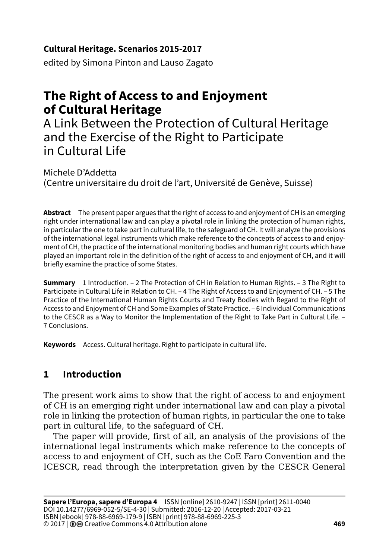### **Cultural Heritage. Scenarios 2015-2017**

edited by Simona Pinton and Lauso Zagato

# **The Right of Access to and Enjoyment of Cultural Heritage**

A Link Between the Protection of Cultural Heritage and the Exercise of the Right to Participate in Cultural Life

Michele D'Addetta (Centre universitaire du droit de l'art, Université de Genève, Suisse)

**Abstract** The present paper argues that the right of access to and enjoyment of CH is an emerging right under international law and can play a pivotal role in linking the protection of human rights, in particular the one to take part in cultural life, to the safeguard of CH. It will analyze the provisions of the international legal instruments which make reference to the concepts of access to and enjoyment of CH, the practice of the international monitoring bodies and human right courts which have played an important role in the definition of the right of access to and enjoyment of CH, and it will briefly examine the practice of some States.

**Summary** 1 Introduction. – 2 The Protection of CH in Relation to Human Rights. – 3 The Right to Participate in Cultural Life in Relation to CH. – 4 The Right of Access to and Enjoyment of CH. – 5 The Practice of the International Human Rights Courts and Treaty Bodies with Regard to the Right of Access to and Enjoyment of CH and Some Examples of State Practice. – 6 Individual Communications to the CESCR as a Way to Monitor the Implementation of the Right to Take Part in Cultural Life. – 7 Conclusions.

**Keywords** Access. Cultural heritage. Right to participate in cultural life.

# **1 Introduction**

The present work aims to show that the right of access to and enjoyment of CH is an emerging right under international law and can play a pivotal role in linking the protection of human rights, in particular the one to take part in cultural life, to the safeguard of CH.

The paper will provide, first of all, an analysis of the provisions of the international legal instruments which make reference to the concepts of access to and enjoyment of CH, such as the CoE Faro Convention and the ICESCR, read through the interpretation given by the CESCR General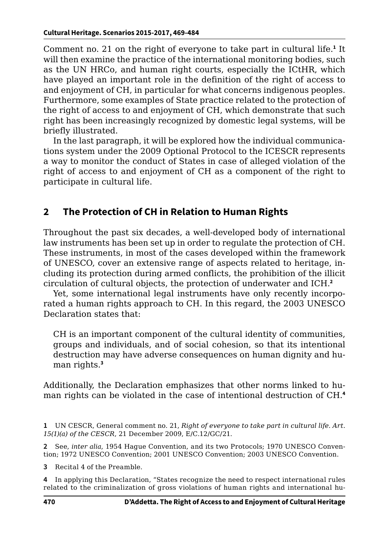Comment no. 21 on the right of everyone to take part in cultural life.<sup>1</sup> It will then examine the practice of the international monitoring bodies, such as the UN HRCo, and human right courts, especially the ICtHR, which have played an important role in the definition of the right of access to and enjoyment of CH, in particular for what concerns indigenous peoples. Furthermore, some examples of State practice related to the protection of the right of access to and enjoyment of CH, which demonstrate that such right has been increasingly recognized by domestic legal systems, will be briefly illustrated.

In the last paragraph, it will be explored how the individual communications system under the 2009 Optional Protocol to the ICESCR represents a way to monitor the conduct of States in case of alleged violation of the right of access to and enjoyment of CH as a component of the right to participate in cultural life.

## **2 The Protection of CH in Relation to Human Rights**

Throughout the past six decades, a well-developed body of international law instruments has been set up in order to regulate the protection of CH. These instruments, in most of the cases developed within the framework of UNESCO, cover an extensive range of aspects related to heritage, including its protection during armed conflicts, the prohibition of the illicit circulation of cultural objects, the protection of underwater and ICH.**<sup>2</sup>**

Yet, some international legal instruments have only recently incorporated a human rights approach to CH. In this regard, the 2003 UNESCO Declaration states that:

CH is an important component of the cultural identity of communities, groups and individuals, and of social cohesion, so that its intentional destruction may have adverse consequences on human dignity and human rights.**<sup>3</sup>**

Additionally, the Declaration emphasizes that other norms linked to human rights can be violated in the case of intentional destruction of CH.**<sup>4</sup>**

**2** See, *inter alia*, 1954 Hague Convention, and its two Protocols; 1970 UNESCO Convention; 1972 UNESCO Convention; 2001 UNESCO Convention; 2003 UNESCO Convention.

**3** Recital 4 of the Preamble.

**<sup>1</sup>** UN CESCR, General comment no. 21, *Right of everyone to take part in cultural life. Art. 15(1)(a) of the CESCR*, 21 December 2009, E/C.12/GC/21.

**<sup>4</sup>** In applying this Declaration, "States recognize the need to respect international rules related to the criminalization of gross violations of human rights and international hu-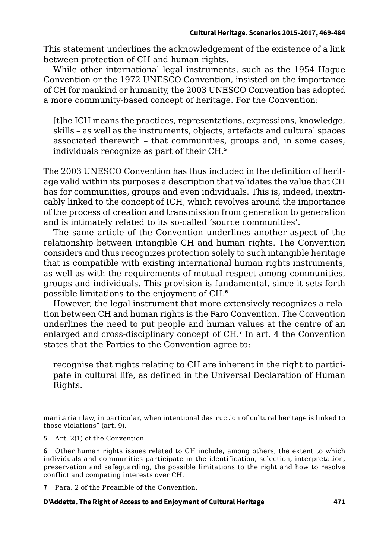This statement underlines the acknowledgement of the existence of a link between protection of CH and human rights.

While other international legal instruments, such as the 1954 Hague Convention or the 1972 UNESCO Convention, insisted on the importance of CH for mankind or humanity, the 2003 UNESCO Convention has adopted a more community-based concept of heritage. For the Convention:

[t]he ICH means the practices, representations, expressions, knowledge, skills – as well as the instruments, objects, artefacts and cultural spaces associated therewith – that communities, groups and, in some cases, individuals recognize as part of their CH.**<sup>5</sup>**

The 2003 UNESCO Convention has thus included in the definition of heritage valid within its purposes a description that validates the value that CH has for communities, groups and even individuals. This is, indeed, inextricably linked to the concept of ICH, which revolves around the importance of the process of creation and transmission from generation to generation and is intimately related to its so-called 'source communities'.

The same article of the Convention underlines another aspect of the relationship between intangible CH and human rights. The Convention considers and thus recognizes protection solely to such intangible heritage that is compatible with existing international human rights instruments, as well as with the requirements of mutual respect among communities, groups and individuals. This provision is fundamental, since it sets forth possible limitations to the enjoyment of CH.**<sup>6</sup>**

However, the legal instrument that more extensively recognizes a relation between CH and human rights is the Faro Convention. The Convention underlines the need to put people and human values at the centre of an enlarged and cross-disciplinary concept of CH.**<sup>7</sup>** In art. 4 the Convention states that the Parties to the Convention agree to:

recognise that rights relating to CH are inherent in the right to participate in cultural life, as defined in the Universal Declaration of Human Rights.

manitarian law, in particular, when intentional destruction of cultural heritage is linked to those violations" (art. 9).

**5** Art. 2(1) of the Convention.

**6** Other human rights issues related to CH include, among others, the extent to which individuals and communities participate in the identification, selection, interpretation, preservation and safeguarding, the possible limitations to the right and how to resolve conflict and competing interests over CH.

**7** Para. 2 of the Preamble of the Convention.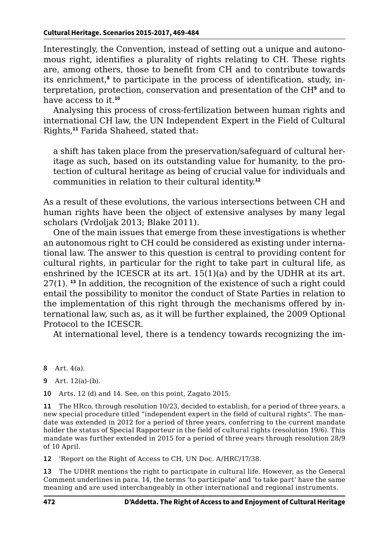Interestingly, the Convention, instead of setting out a unique and autonomous right, identifies a plurality of rights relating to CH. These rights are, among others, those to benefit from CH and to contribute towards its enrichment,<sup>8</sup> to participate in the process of identification, study, interpretation, protection, conservation and presentation of the CH<sup>9</sup> and to have access to it.**<sup>10</sup>**

Analysing this process of cross-fertilization between human rights and international CH law, the UN Independent Expert in the Field of Cultural Rights,**<sup>11</sup>** Farida Shaheed, stated that:

a shift has taken place from the preservation/safeguard of cultural heritage as such, based on its outstanding value for humanity, to the protection of cultural heritage as being of crucial value for individuals and communities in relation to their cultural identity.**<sup>12</sup>**

As a result of these evolutions, the various intersections between CH and human rights have been the object of extensive analyses by many legal scholars (Vrdoljak 2013; Blake 2011).

One of the main issues that emerge from these investigations is whether an autonomous right to CH could be considered as existing under international law. The answer to this question is central to providing content for cultural rights, in particular for the right to take part in cultural life, as enshrined by the ICESCR at its art.  $15(1)(a)$  and by the UDHR at its art. 27(1). **<sup>13</sup>** In addition, the recognition of the existence of such a right could entail the possibility to monitor the conduct of State Parties in relation to the implementation of this right through the mechanisms offered by international law, such as, as it will be further explained, the 2009 Optional Protocol to the ICESCR.

At international level, there is a tendency towards recognizing the im-

- **8** Art. 4(a).
- **9** Art. 12(a)-(b).

**10** Arts. 12 (d) and 14. See, on this point, Zagato 2015.

**11** The HRco, through resolution 10/23, decided to establish, for a period of three years, a new special procedure titled "independent expert in the field of cultural rights". The mandate was extended in 2012 for a period of three years, conferring to the current mandate holder the status of Special Rapporteur in the field of cultural rights (resolution 19/6). This mandate was further extended in 2015 for a period of three years through resolution 28/9 of 10 April.

**12** 'Report on the Right of Access to CH, UN Doc. A/HRC/17/38.

**13** The UDHR mentions the right to participate in cultural life. However, as the General Comment underlines in para. 14, the terms 'to participate' and 'to take part' have the same meaning and are used interchangeably in other international and regional instruments.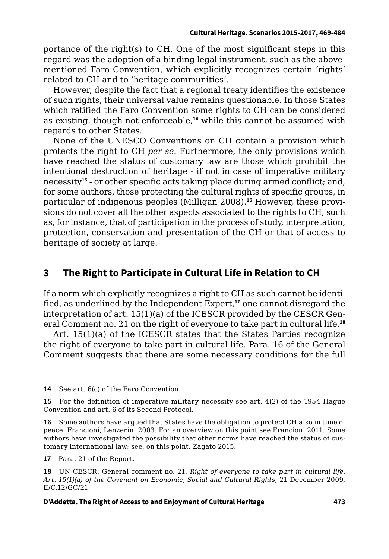portance of the right(s) to CH. One of the most significant steps in this regard was the adoption of a binding legal instrument, such as the abovementioned Faro Convention, which explicitly recognizes certain 'rights' related to CH and to 'heritage communities'.

However, despite the fact that a regional treaty identifies the existence of such rights, their universal value remains questionable. In those States which ratified the Faro Convention some rights to CH can be considered as existing, though not enforceable,**<sup>14</sup>** while this cannot be assumed with regards to other States.

None of the UNESCO Conventions on CH contain a provision which protects the right to CH *per se*. Furthermore, the only provisions which have reached the status of customary law are those which prohibit the intentional destruction of heritage - if not in case of imperative military necessity**<sup>15</sup>** - or other specific acts taking place during armed conflict; and, for some authors, those protecting the cultural rights of specific groups, in particular of indigenous peoples (Milligan 2008).**16** However, these provisions do not cover all the other aspects associated to the rights to CH, such as, for instance, that of participation in the process of study, interpretation, protection, conservation and presentation of the CH or that of access to heritage of society at large.

## **3 The Right to Participate in Cultural Life in Relation to CH**

If a norm which explicitly recognizes a right to CH as such cannot be identified, as underlined by the Independent Expert,**<sup>17</sup>** one cannot disregard the interpretation of art. 15(1)(a) of the ICESCR provided by the CESCR General Comment no. 21 on the right of everyone to take part in cultural life.**<sup>18</sup>**

Art. 15(1)(a) of the ICESCR states that the States Parties recognize the right of everyone to take part in cultural life. Para. 16 of the General Comment suggests that there are some necessary conditions for the full

**14** See art. 6(c) of the Faro Convention.

**15** For the definition of imperative military necessity see art. 4(2) of the 1954 Hague Convention and art. 6 of its Second Protocol.

**16** Some authors have argued that States have the obligation to protect CH also in time of peace: Francioni, Lenzerini 2003. For an overview on this point see Francioni 2011. Some authors have investigated the possibility that other norms have reached the status of customary international law; see, on this point, Zagato 2015.

**17** Para. 21 of the Report.

**18** UN CESCR, General comment no. 21, *Right of everyone to take part in cultural life. Art. 15(1)(a) of the Covenant on Economic, Social and Cultural Rights*, 21 December 2009, E/C.12/GC/21.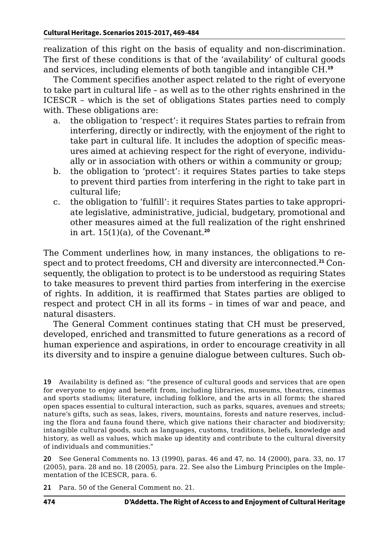realization of this right on the basis of equality and non-discrimination. The first of these conditions is that of the 'availability' of cultural goods and services, including elements of both tangible and intangible CH.**<sup>19</sup>**

The Comment specifies another aspect related to the right of everyone to take part in cultural life – as well as to the other rights enshrined in the ICESCR – which is the set of obligations States parties need to comply with. These obligations are:

- a. the obligation to 'respect': it requires States parties to refrain from interfering, directly or indirectly, with the enjoyment of the right to take part in cultural life. It includes the adoption of specific measures aimed at achieving respect for the right of everyone, individually or in association with others or within a community or group;
- b. the obligation to 'protect': it requires States parties to take steps to prevent third parties from interfering in the right to take part in cultural life;
- c. the obligation to 'fulfill': it requires States parties to take appropriate legislative, administrative, judicial, budgetary, promotional and other measures aimed at the full realization of the right enshrined in art. 15(1)(a), of the Covenant.**<sup>20</sup>**

The Comment underlines how, in many instances, the obligations to respect and to protect freedoms, CH and diversity are interconnected.**21** Consequently, the obligation to protect is to be understood as requiring States to take measures to prevent third parties from interfering in the exercise of rights. In addition, it is reaffirmed that States parties are obliged to respect and protect CH in all its forms – in times of war and peace, and natural disasters.

The General Comment continues stating that CH must be preserved, developed, enriched and transmitted to future generations as a record of human experience and aspirations, in order to encourage creativity in all its diversity and to inspire a genuine dialogue between cultures. Such ob-

**20** See General Comments no. 13 (1990), paras. 46 and 47, no. 14 (2000), para. 33, no. 17 (2005), para. 28 and no. 18 (2005), para. 22. See also the Limburg Principles on the Implementation of the ICESCR, para. 6.

**21** Para. 50 of the General Comment no. 21.

**<sup>19</sup>** Availability is defined as: "the presence of cultural goods and services that are open for everyone to enjoy and benefit from, including libraries, museums, theatres, cinemas and sports stadiums; literature, including folklore, and the arts in all forms; the shared open spaces essential to cultural interaction, such as parks, squares, avenues and streets; nature's gifts, such as seas, lakes, rivers, mountains, forests and nature reserves, including the flora and fauna found there, which give nations their character and biodiversity; intangible cultural goods, such as languages, customs, traditions, beliefs, knowledge and history, as well as values, which make up identity and contribute to the cultural diversity of individuals and communities."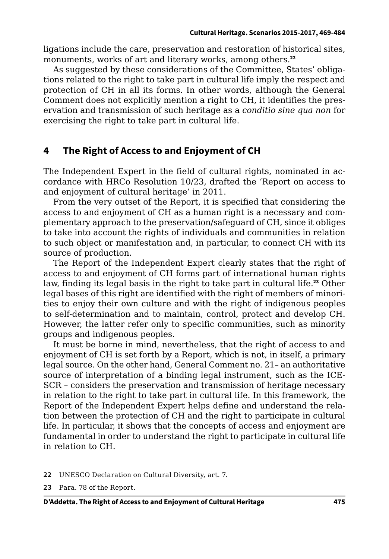ligations include the care, preservation and restoration of historical sites, monuments, works of art and literary works, among others.**<sup>22</sup>**

As suggested by these considerations of the Committee, States' obligations related to the right to take part in cultural life imply the respect and protection of CH in all its forms. In other words, although the General Comment does not explicitly mention a right to CH, it identifies the preservation and transmission of such heritage as a *conditio sine qua non* for exercising the right to take part in cultural life.

#### **4 The Right of Access to and Enjoyment of CH**

The Independent Expert in the field of cultural rights, nominated in accordance with HRCo Resolution 10/23, drafted the 'Report on access to and enjoyment of cultural heritage' in 2011.

From the very outset of the Report, it is specified that considering the access to and enjoyment of CH as a human right is a necessary and complementary approach to the preservation/safeguard of CH, since it obliges to take into account the rights of individuals and communities in relation to such object or manifestation and, in particular, to connect CH with its source of production.

The Report of the Independent Expert clearly states that the right of access to and enjoyment of CH forms part of international human rights law, finding its legal basis in the right to take part in cultural life.**<sup>23</sup>** Other legal bases of this right are identified with the right of members of minorities to enjoy their own culture and with the right of indigenous peoples to self-determination and to maintain, control, protect and develop CH. However, the latter refer only to specific communities, such as minority groups and indigenous peoples.

It must be borne in mind, nevertheless, that the right of access to and enjoyment of CH is set forth by a Report, which is not, in itself, a primary legal source. On the other hand, General Comment no. 21– an authoritative source of interpretation of a binding legal instrument, such as the ICE-SCR – considers the preservation and transmission of heritage necessary in relation to the right to take part in cultural life. In this framework, the Report of the Independent Expert helps define and understand the relation between the protection of CH and the right to participate in cultural life. In particular, it shows that the concepts of access and enjoyment are fundamental in order to understand the right to participate in cultural life in relation to CH.

- **22** UNESCO Declaration on Cultural Diversity, art. 7.
- **23** Para. 78 of the Report.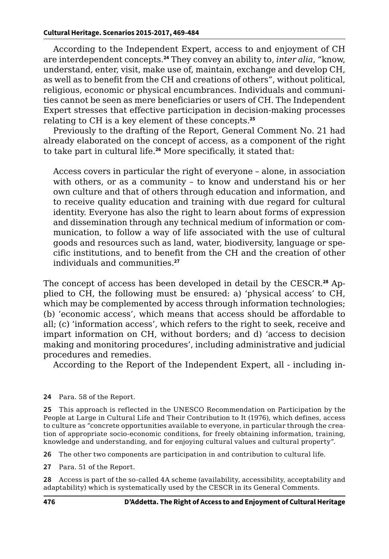According to the Independent Expert, access to and enjoyment of CH are interdependent concepts.**<sup>24</sup>** They convey an ability to, *inter alia*, "know, understand, enter, visit, make use of, maintain, exchange and develop CH, as well as to benefit from the CH and creations of others", without political, religious, economic or physical encumbrances. Individuals and communities cannot be seen as mere beneficiaries or users of CH. The Independent Expert stresses that effective participation in decision-making processes relating to CH is a key element of these concepts.**<sup>25</sup>**

Previously to the drafting of the Report, General Comment No. 21 had already elaborated on the concept of access, as a component of the right to take part in cultural life.**<sup>26</sup>** More specifically, it stated that:

Access covers in particular the right of everyone – alone, in association with others, or as a community – to know and understand his or her own culture and that of others through education and information, and to receive quality education and training with due regard for cultural identity. Everyone has also the right to learn about forms of expression and dissemination through any technical medium of information or communication, to follow a way of life associated with the use of cultural goods and resources such as land, water, biodiversity, language or specific institutions, and to benefit from the CH and the creation of other individuals and communities.**<sup>27</sup>**

The concept of access has been developed in detail by the CESCR.**28** Applied to CH, the following must be ensured: a) 'physical access' to CH, which may be complemented by access through information technologies; (b) 'economic access', which means that access should be affordable to all; (c) 'information access', which refers to the right to seek, receive and impart information on CH, without borders; and d) 'access to decision making and monitoring procedures', including administrative and judicial procedures and remedies.

According to the Report of the Independent Expert, all - including in-

**24** Para. 58 of the Report.

**25** This approach is reflected in the UNESCO Recommendation on Participation by the People at Large in Cultural Life and Their Contribution to It (1976), which defines, access to culture as "concrete opportunities available to everyone, in particular through the creation of appropriate socio-economic conditions, for freely obtaining information, training, knowledge and understanding, and for enjoying cultural values and cultural property".

**26** The other two components are participation in and contribution to cultural life.

**27** Para. 51 of the Report.

**28** Access is part of the so-called 4A scheme (availability, accessibility, acceptability and adaptability) which is systematically used by the CESCR in its General Comments.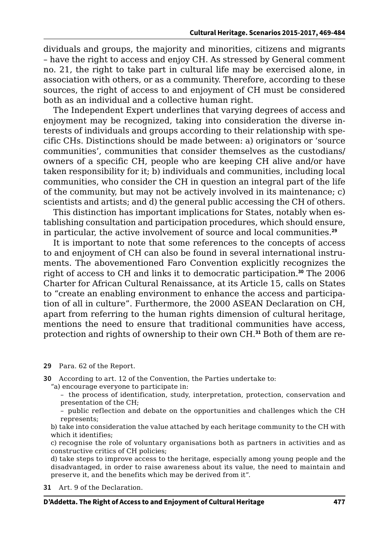dividuals and groups, the majority and minorities, citizens and migrants – have the right to access and enjoy CH. As stressed by General comment no. 21, the right to take part in cultural life may be exercised alone, in association with others, or as a community. Therefore, according to these sources, the right of access to and enjoyment of CH must be considered both as an individual and a collective human right.

The Independent Expert underlines that varying degrees of access and enjoyment may be recognized, taking into consideration the diverse interests of individuals and groups according to their relationship with specific CHs. Distinctions should be made between: a) originators or 'source communities', communities that consider themselves as the custodians/ owners of a specific CH, people who are keeping CH alive and/or have taken responsibility for it; b) individuals and communities, including local communities, who consider the CH in question an integral part of the life of the community, but may not be actively involved in its maintenance; c) scientists and artists; and d) the general public accessing the CH of others.

This distinction has important implications for States, notably when establishing consultation and participation procedures, which should ensure, in particular, the active involvement of source and local communities.**<sup>29</sup>**

It is important to note that some references to the concepts of access to and enjoyment of CH can also be found in several international instruments. The abovementioned Faro Convention explicitly recognizes the right of access to CH and links it to democratic participation.**<sup>30</sup>** The 2006 Charter for African Cultural Renaissance, at its Article 15, calls on States to "create an enabling environment to enhance the access and participation of all in culture". Furthermore, the 2000 ASEAN Declaration on CH, apart from referring to the human rights dimension of cultural heritage, mentions the need to ensure that traditional communities have access, protection and rights of ownership to their own CH.**31** Both of them are re-

**29** Para. 62 of the Report.

**30** According to art. 12 of the Convention, the Parties undertake to:

"a) encourage everyone to participate in:

– the process of identification, study, interpretation, protection, conservation and presentation of the CH;

– public reflection and debate on the opportunities and challenges which the CH represents;

b) take into consideration the value attached by each heritage community to the CH with which it identifies;

c) recognise the role of voluntary organisations both as partners in activities and as constructive critics of CH policies;

d) take steps to improve access to the heritage, especially among young people and the disadvantaged, in order to raise awareness about its value, the need to maintain and preserve it, and the benefits which may be derived from it".

**31** Art. 9 of the Declaration.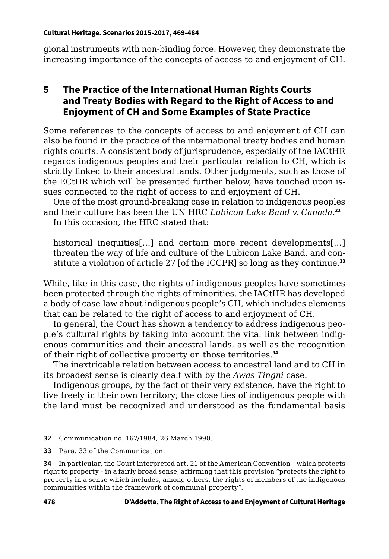gional instruments with non-binding force. However, they demonstrate the increasing importance of the concepts of access to and enjoyment of CH.

## **5 The Practice of the International Human Rights Courts and Treaty Bodies with Regard to the Right of Access to and Enjoyment of CH and Some Examples of State Practice**

Some references to the concepts of access to and enjoyment of CH can also be found in the practice of the international treaty bodies and human rights courts. A consistent body of jurisprudence, especially of the IACtHR regards indigenous peoples and their particular relation to CH, which is strictly linked to their ancestral lands. Other judgments, such as those of the ECtHR which will be presented further below, have touched upon issues connected to the right of access to and enjoyment of CH.

One of the most ground-breaking case in relation to indigenous peoples and their culture has been the UN HRC *Lubicon Lake Band v. Canada.***<sup>32</sup>** In this occasion, the HRC stated that:

historical inequities[...] and certain more recent developments[...] threaten the way of life and culture of the Lubicon Lake Band, and constitute a violation of article 27 [of the ICCPR] so long as they continue.**<sup>33</sup>**

While, like in this case, the rights of indigenous peoples have sometimes been protected through the rights of minorities, the IACtHR has developed a body of case-law about indigenous people's CH, which includes elements that can be related to the right of access to and enjoyment of CH.

In general, the Court has shown a tendency to address indigenous people's cultural rights by taking into account the vital link between indigenous communities and their ancestral lands, as well as the recognition of their right of collective property on those territories.**<sup>34</sup>**

The inextricable relation between access to ancestral land and to CH in its broadest sense is clearly dealt with by the *Awas Tingni* case.

Indigenous groups, by the fact of their very existence, have the right to live freely in their own territory; the close ties of indigenous people with the land must be recognized and understood as the fundamental basis

**32** Communication no. 167/1984, 26 March 1990.

**33** Para. 33 of the Communication.

**34** In particular, the Court interpreted art. 21 of the American Convention – which protects right to property – in a fairly broad sense, affirming that this provision "protects the right to property in a sense which includes, among others, the rights of members of the indigenous communities within the framework of communal property".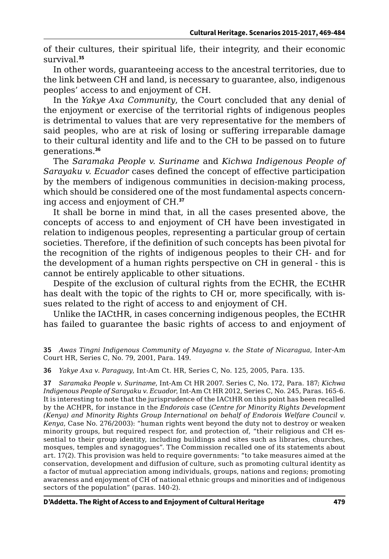of their cultures, their spiritual life, their integrity, and their economic survival.**<sup>35</sup>**

In other words, guaranteeing access to the ancestral territories, due to the link between CH and land, is necessary to guarantee, also, indigenous peoples' access to and enjoyment of CH.

In the *Yakye Axa Community*, the Court concluded that any denial of the enjoyment or exercise of the territorial rights of indigenous peoples is detrimental to values that are very representative for the members of said peoples, who are at risk of losing or suffering irreparable damage to their cultural identity and life and to the CH to be passed on to future generations.**<sup>36</sup>**

The *Saramaka People v. Suriname* and *Kichwa Indigenous People of Sarayaku v. Ecuador* cases defined the concept of effective participation by the members of indigenous communities in decision-making process, which should be considered one of the most fundamental aspects concerning access and enjoyment of CH.**<sup>37</sup>**

It shall be borne in mind that, in all the cases presented above, the concepts of access to and enjoyment of CH have been investigated in relation to indigenous peoples, representing a particular group of certain societies. Therefore, if the definition of such concepts has been pivotal for the recognition of the rights of indigenous peoples to their CH- and for the development of a human rights perspective on CH in general - this is cannot be entirely applicable to other situations.

Despite of the exclusion of cultural rights from the ECHR, the ECtHR has dealt with the topic of the rights to CH or, more specifically, with issues related to the right of access to and enjoyment of CH.

Unlike the IACtHR, in cases concerning indigenous peoples, the ECtHR has failed to guarantee the basic rights of access to and enjoyment of

**36** *Yakye Axa v. Paraguay*, Int-Am Ct. HR, Series C, No. 125, 2005, Para. 135.

**37** *Saramaka People v. Suriname*, Int-Am Ct HR 2007. Series C, No. 172, Para. 187; *Kichwa Indigenous People of Sarayaku v. Ecuador*, Int-Am Ct HR 2012, Series C, No. 245, Paras. 165-6. It is interesting to note that the jurisprudence of the IACtHR on this point has been recalled by the ACHPR, for instance in the *Endorois* case (*Centre for Minority Rights Development (Kenya) and Minority Rights Group International on behalf of Endorois Welfare Council v. Kenya*, Case No. 276/2003): "human rights went beyond the duty not to destroy or weaken minority groups, but required respect for, and protection of, "their religious and CH essential to their group identity, including buildings and sites such as libraries, churches, mosques, temples and synagogues". The Commission recalled one of its statements about art. 17(2). This provision was held to require governments: "to take measures aimed at the conservation, development and diffusion of culture, such as promoting cultural identity as a factor of mutual appreciation among individuals, groups, nations and regions; promoting awareness and enjoyment of CH of national ethnic groups and minorities and of indigenous sectors of the population" (paras. 140-2).

**<sup>35</sup>** *Awas Tingni Indigenous Community of Mayagna v. the State of Nicaragua*, Inter-Am Court HR, Series C, No. 79, 2001, Para. 149.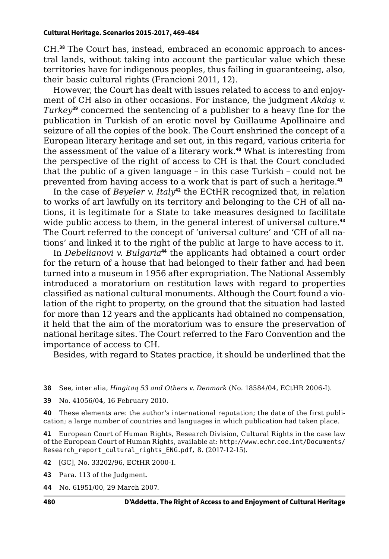CH.**38** The Court has, instead, embraced an economic approach to ancestral lands, without taking into account the particular value which these territories have for indigenous peoples, thus failing in guaranteeing, also, their basic cultural rights (Francioni 2011, 12).

However, the Court has dealt with issues related to access to and enjoyment of CH also in other occasions. For instance, the judgment *Akdaş v. Turkey***<sup>39</sup>** concerned the sentencing of a publisher to a heavy fine for the publication in Turkish of an erotic novel by Guillaume Apollinaire and seizure of all the copies of the book. The Court enshrined the concept of a European literary heritage and set out, in this regard, various criteria for the assessment of the value of a literary work.**<sup>40</sup>** What is interesting from the perspective of the right of access to CH is that the Court concluded that the public of a given language – in this case Turkish – could not be prevented from having access to a work that is part of such a heritage.**<sup>41</sup>**

In the case of *Beyeler v. Italy*<sup>42</sup> the ECtHR recognized that, in relation to works of art lawfully on its territory and belonging to the CH of all nations, it is legitimate for a State to take measures designed to facilitate wide public access to them, in the general interest of universal culture.**<sup>43</sup>** The Court referred to the concept of 'universal culture' and 'CH of all nations' and linked it to the right of the public at large to have access to it.

In *Debelianovi v. Bulgaria***<sup>44</sup>** the applicants had obtained a court order for the return of a house that had belonged to their father and had been turned into a museum in 1956 after expropriation. The National Assembly introduced a moratorium on restitution laws with regard to properties classified as national cultural monuments. Although the Court found a violation of the right to property, on the ground that the situation had lasted for more than 12 years and the applicants had obtained no compensation, it held that the aim of the moratorium was to ensure the preservation of national heritage sites. The Court referred to the Faro Convention and the importance of access to CH.

Besides, with regard to States practice, it should be underlined that the

**38** See, inter alia, *Hingitaq 53 and Others v. Denmark* (No. 18584/04, ECtHR 2006-I).

**39** No. 41056/04, 16 February 2010.

**40** These elements are: the author's international reputation; the date of the first publication; a large number of countries and languages in which publication had taken place.

**41** European Court of Human Rights, Research Division, Cultural Rights in the case law of the European Court of Human Rights, available at: [http://www.echr.coe.int/Documents/](http://www.echr.coe.int/Documents/Research_report_cultural_rights_ENG.pdf) [Research\\_report\\_cultural\\_rights\\_ENG.pdf](http://www.echr.coe.int/Documents/Research_report_cultural_rights_ENG.pdf), 8. (2017-12-15).

**42** [GC], No. 33202/96, ECtHR 2000-I.

**43** Para. 113 of the Judgment.

**44** No. 61951/00, 29 March 2007.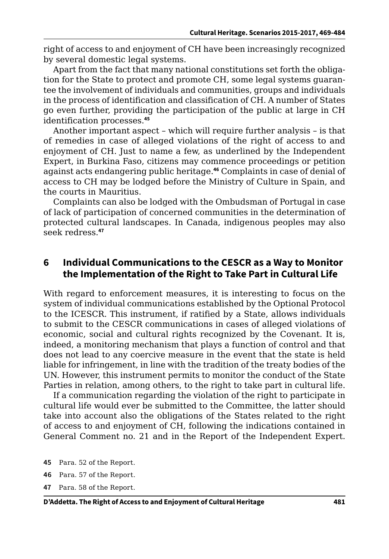right of access to and enjoyment of CH have been increasingly recognized by several domestic legal systems.

Apart from the fact that many national constitutions set forth the obligation for the State to protect and promote CH, some legal systems guarantee the involvement of individuals and communities, groups and individuals in the process of identification and classification of CH. A number of States go even further, providing the participation of the public at large in CH identification processes.**<sup>45</sup>**

Another important aspect – which will require further analysis – is that of remedies in case of alleged violations of the right of access to and enjoyment of CH. Just to name a few, as underlined by the Independent Expert, in Burkina Faso, citizens may commence proceedings or petition against acts endangering public heritage.**<sup>46</sup>** Complaints in case of denial of access to CH may be lodged before the Ministry of Culture in Spain, and the courts in Mauritius.

Complaints can also be lodged with the Ombudsman of Portugal in case of lack of participation of concerned communities in the determination of protected cultural landscapes. In Canada, indigenous peoples may also seek redress.**<sup>47</sup>**

#### **6 Individual Communications to the CESCR as a Way to Monitor the Implementation of the Right to Take Part in Cultural Life**

With regard to enforcement measures, it is interesting to focus on the system of individual communications established by the Optional Protocol to the ICESCR. This instrument, if ratified by a State, allows individuals to submit to the CESCR communications in cases of alleged violations of economic, social and cultural rights recognized by the Covenant. It is, indeed, a monitoring mechanism that plays a function of control and that does not lead to any coercive measure in the event that the state is held liable for infringement, in line with the tradition of the treaty bodies of the UN. However, this instrument permits to monitor the conduct of the State Parties in relation, among others, to the right to take part in cultural life.

If a communication regarding the violation of the right to participate in cultural life would ever be submitted to the Committee, the latter should take into account also the obligations of the States related to the right of access to and enjoyment of CH, following the indications contained in General Comment no. 21 and in the Report of the Independent Expert.

- **45** Para. 52 of the Report.
- **46** Para. 57 of the Report.
- **47** Para. 58 of the Report.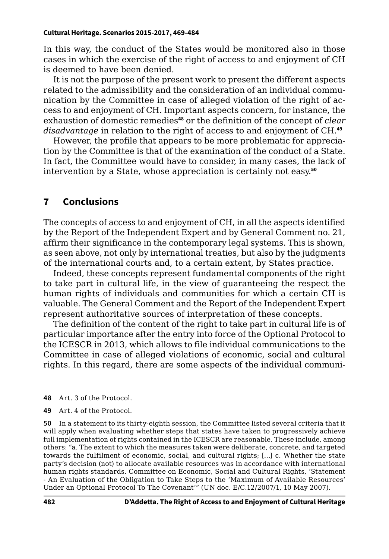In this way, the conduct of the States would be monitored also in those cases in which the exercise of the right of access to and enjoyment of CH is deemed to have been denied.

It is not the purpose of the present work to present the different aspects related to the admissibility and the consideration of an individual communication by the Committee in case of alleged violation of the right of access to and enjoyment of CH. Important aspects concern, for instance, the exhaustion of domestic remedies**<sup>48</sup>** or the definition of the concept of *clear disadvantage* in relation to the right of access to and enjoyment of CH.**<sup>49</sup>**

However, the profile that appears to be more problematic for appreciation by the Committee is that of the examination of the conduct of a State. In fact, the Committee would have to consider, in many cases, the lack of intervention by a State, whose appreciation is certainly not easy.**<sup>50</sup>**

## **7 Conclusions**

The concepts of access to and enjoyment of CH, in all the aspects identified by the Report of the Independent Expert and by General Comment no. 21, affirm their significance in the contemporary legal systems. This is shown, as seen above, not only by international treaties, but also by the judgments of the international courts and, to a certain extent, by States practice.

Indeed, these concepts represent fundamental components of the right to take part in cultural life, in the view of guaranteeing the respect the human rights of individuals and communities for which a certain CH is valuable. The General Comment and the Report of the Independent Expert represent authoritative sources of interpretation of these concepts.

The definition of the content of the right to take part in cultural life is of particular importance after the entry into force of the Optional Protocol to the ICESCR in 2013, which allows to file individual communications to the Committee in case of alleged violations of economic, social and cultural rights. In this regard, there are some aspects of the individual communi-

- **48** Art. 3 of the Protocol.
- **49** Art. 4 of the Protocol.

**50** In a statement to its thirty-eighth session, the Committee listed several criteria that it will apply when evaluating whether steps that states have taken to progressively achieve full implementation of rights contained in the ICESCR are reasonable. These include, among others: "a. The extent to which the measures taken were deliberate, concrete, and targeted towards the fulfilment of economic, social, and cultural rights; […] c. Whether the state party's decision (not) to allocate available resources was in accordance with international human rights standards. Committee on Economic, Social and Cultural Rights, 'Statement - An Evaluation of the Obligation to Take Steps to the 'Maximum of Available Resources' Under an Optional Protocol To The Covenant'" (UN doc. E/C.12/2007/1, 10 May 2007).